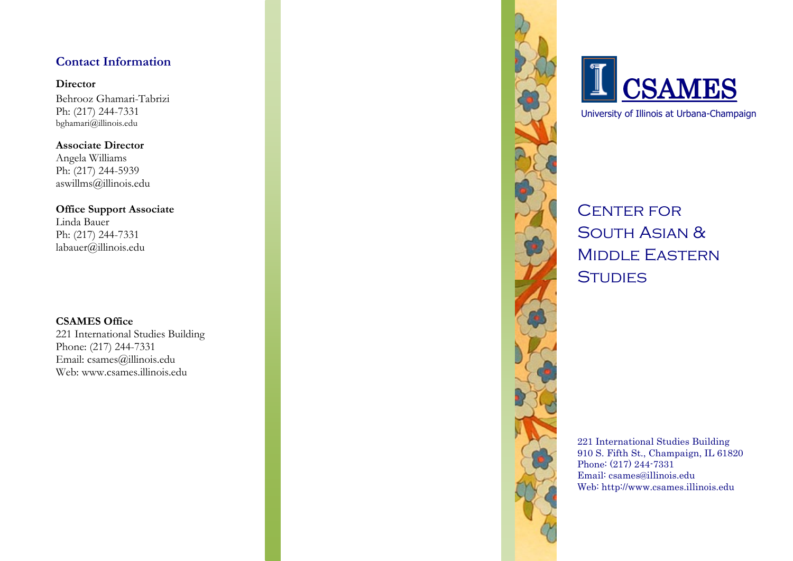## **Contact Information**

#### **Director**

Behrooz Ghamari -Tabrizi Ph: (217) 244 -7331 bghamari@illinois.edu

**Associate Director** Angela Williams Ph: (217) 244 -5939 aswillms@illinois.edu

**Office Support Associate** Linda Bauer Ph: (217) 244 -7331 labauer@illinois.edu

## **CSAMES Office**

221 International Studies Building Phone: (217) 244 -7331 Email: csames@illinois.edu Web: www.csames.illinois.edu





University of Illinois at Urbana -Champaign

**CENTER FOR** SOUTH ASIAN & Middle Eastern **STUDIES** 

221 International Studies Building 910 S. Fifth St., Champaign, IL 61820 Phone: (217) 244 -7331 Email: csames@illinois.edu Web: http://www.csames.illinois.edu